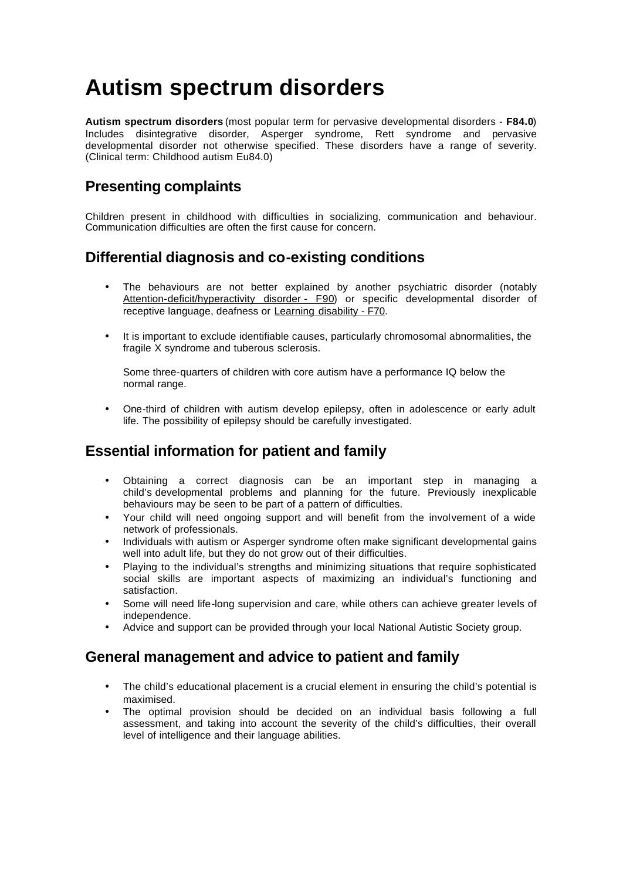# **Autism spectrum disorders**

**Autism spectrum disorders** (most popular term for pervasive developmental disorders - **F84.0**) Includes disintegrative disorder, Asperger syndrome, Rett syndrome and pervasive developmental disorder not otherwise specified. These disorders have a range of severity. (Clinical term: Childhood autism Eu84.0)

# **Presenting complaints**

Children present in childhood with difficulties in socializing, communication and behaviour. Communication difficulties are often the first cause for concern.

# **Differential diagnosis and co-existing conditions**

- The behaviours are not better explained by another psychiatric disorder (notably Attention-deficit/hyperactivity disorder - F90) or specific developmental disorder of receptive language, deafness or Learning disability - F70.
- It is important to exclude identifiable causes, particularly chromosomal abnormalities, the fragile X syndrome and tuberous sclerosis.

Some three-quarters of children with core autism have a performance IQ below the normal range.

• One-third of children with autism develop epilepsy, often in adolescence or early adult life. The possibility of epilepsy should be carefully investigated.

# **Essential information for patient and family**

- Obtaining a correct diagnosis can be an important step in managing a child's developmental problems and planning for the future. Previously inexplicable behaviours may be seen to be part of a pattern of difficulties.
- Your child will need ongoing support and will benefit from the involvement of a wide network of professionals.
- Individuals with autism or Asperger syndrome often make significant developmental gains well into adult life, but they do not grow out of their difficulties.
- Playing to the individual's strengths and minimizing situations that require sophisticated social skills are important aspects of maximizing an individual's functioning and satisfaction.
- Some will need life-long supervision and care, while others can achieve greater levels of independence.
- Advice and support can be provided through your local National Autistic Society group.

### **General management and advice to patient and family**

- The child's educational placement is a crucial element in ensuring the child's potential is maximised.
- The optimal provision should be decided on an individual basis following a full assessment, and taking into account the severity of the child's difficulties, their overall level of intelligence and their language abilities.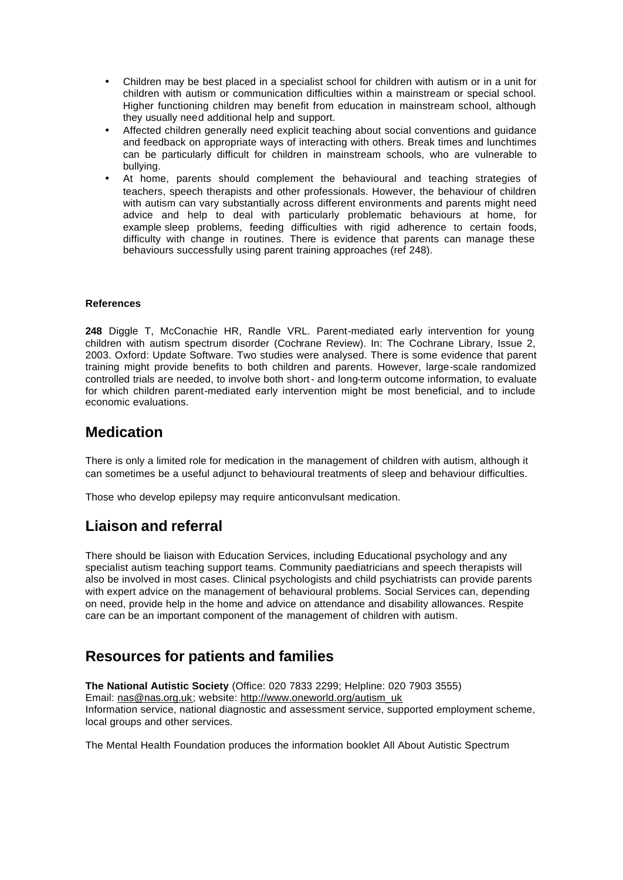- Children may be best placed in a specialist school for children with autism or in a unit for children with autism or communication difficulties within a mainstream or special school. Higher functioning children may benefit from education in mainstream school, although they usually need additional help and support.
- Affected children generally need explicit teaching about social conventions and guidance and feedback on appropriate ways of interacting with others. Break times and lunchtimes can be particularly difficult for children in mainstream schools, who are vulnerable to bullying.
- At home, parents should complement the behavioural and teaching strategies of teachers, speech therapists and other professionals. However, the behaviour of children with autism can vary substantially across different environments and parents might need advice and help to deal with particularly problematic behaviours at home, for example sleep problems, feeding difficulties with rigid adherence to certain foods, difficulty with change in routines. There is evidence that parents can manage these behaviours successfully using parent training approaches (ref 248).

#### **References**

**248** Diggle T, McConachie HR, Randle VRL. Parent-mediated early intervention for young children with autism spectrum disorder (Cochrane Review). In: The Cochrane Library, Issue 2, 2003. Oxford: Update Software. Two studies were analysed. There is some evidence that parent training might provide benefits to both children and parents. However, large-scale randomized controlled trials are needed, to involve both short- and long-term outcome information, to evaluate for which children parent-mediated early intervention might be most beneficial, and to include economic evaluations.

#### **Medication**

There is only a limited role for medication in the management of children with autism, although it can sometimes be a useful adjunct to behavioural treatments of sleep and behaviour difficulties.

Those who develop epilepsy may require anticonvulsant medication.

### **Liaison and referral**

There should be liaison with Education Services, including Educational psychology and any specialist autism teaching support teams. Community paediatricians and speech therapists will also be involved in most cases. Clinical psychologists and child psychiatrists can provide parents with expert advice on the management of behavioural problems. Social Services can, depending on need, provide help in the home and advice on attendance and disability allowances. Respite care can be an important component of the management of children with autism.

# **Resources for patients and families**

**The National Autistic Society** (Office: 020 7833 2299; Helpline: 020 7903 3555) Email: nas@nas.org.uk; website: http://www.oneworld.org/autism\_uk Information service, national diagnostic and assessment service, supported employment scheme, local groups and other services.

The Mental Health Foundation produces the information booklet All About Autistic Spectrum